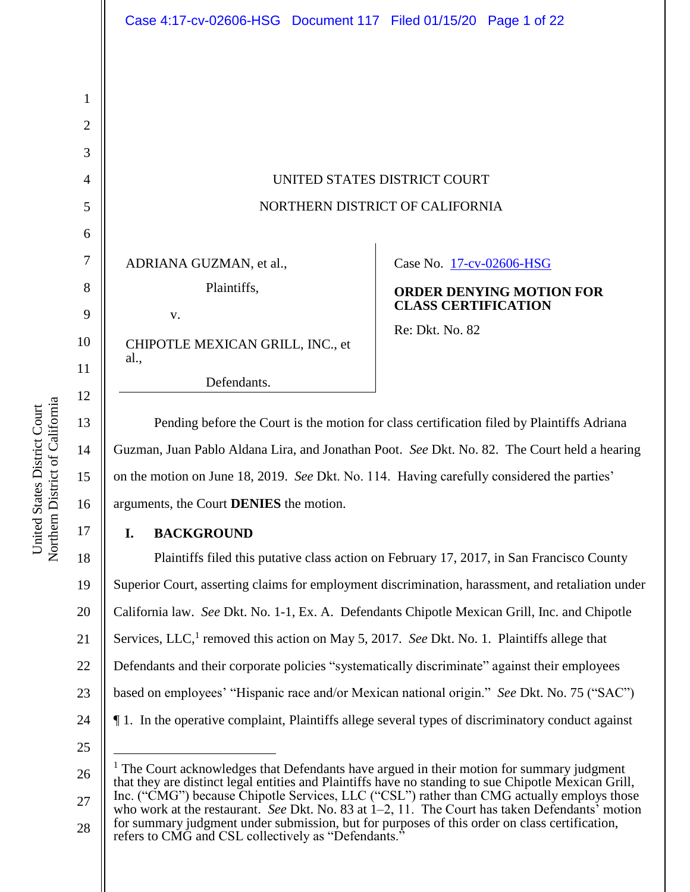| UNITED STATES DISTRICT COURT    |
|---------------------------------|
| NORTHERN DISTRICT OF CALIFORNIA |

ADRIANA GUZMAN, et al.,

v.

al.,

| Plaintiffs, |  |
|-------------|--|
|             |  |

CHIPOTLE MEXICAN GRILL, INC., et

Defendants.

Case No. 17-cv-02606-HSG

**ORDER DENYING MOTION FOR CLASS CERTIFICATION**

Re: Dkt. No. 82

Pending before the Court is the motion for class certification filed by Plaintiffs Adriana Guzman, Juan Pablo Aldana Lira, and Jonathan Poot. *See* Dkt. No. 82. The Court held a hearing on the motion on June 18, 2019. *See* Dkt. No. 114. Having carefully considered the parties' arguments, the Court **DENIES** the motion.

# **I. BACKGROUND**

18 19 20 21 22 23 24 Plaintiffs filed this putative class action on February 17, 2017, in San Francisco County Superior Court, asserting claims for employment discrimination, harassment, and retaliation under California law. *See* Dkt. No. 1-1, Ex. A. Defendants Chipotle Mexican Grill, Inc. and Chipotle Services, LLC,<sup>1</sup> removed this action on May 5, 2017. *See Dkt. No. 1. Plaintiffs allege that* Defendants and their corporate policies "systematically discriminate" against their employees based on employees' "Hispanic race and/or Mexican national origin." *See* Dkt. No. 75 ("SAC") ¶ 1.In the operative complaint, Plaintiffs allege several types of discriminatory conduct against

25

1

2

3

4

5

6

7

8

9

10

11

12

13

14

15

16

<sup>26</sup> 27  $<sup>1</sup>$  The Court acknowledges that Defendants have argued in their motion for summary judgment</sup> that they are distinct legal entities and Plaintiffs have no standing to sue Chipotle Mexican Grill, Inc. ("CMG") because Chipotle Services, LLC ("CSL") rather than CMG actually employs those

<sup>28</sup> who work at the restaurant. *See* Dkt. No. 83 at 1–2, 11. The Court has taken Defendants' motion for summary judgment under submission, but for purposes of this order on class certification, refers to CMG and CSL collectively as "Defendants."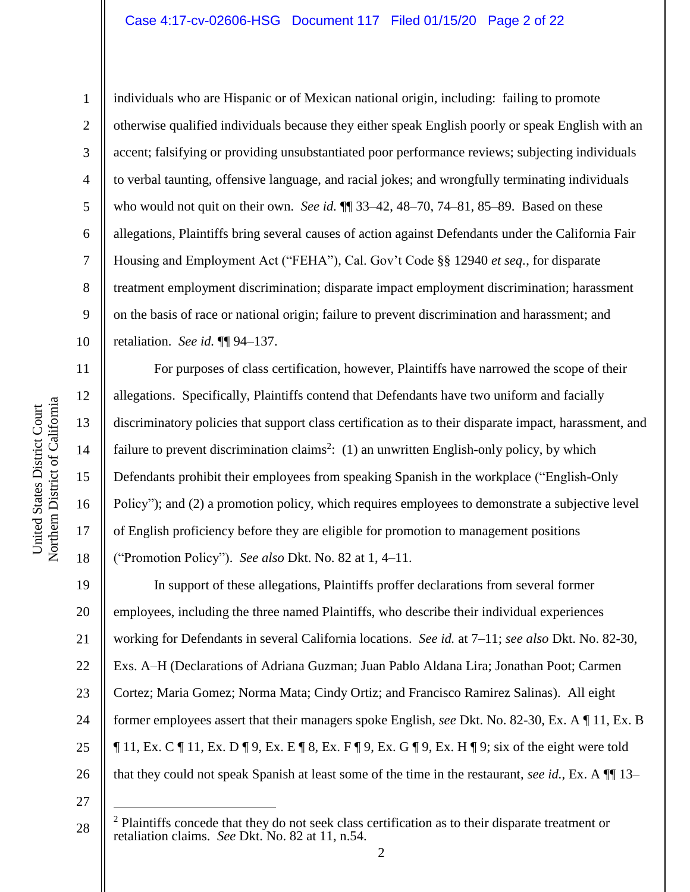#### Case 4:17-cv-02606-HSG Document 117 Filed 01/15/20 Page 2 of 22

10 11

1

2

3

4

5

6

7

8

9

12

13

14

15

16

17

18

individuals who are Hispanic or of Mexican national origin, including: failing to promote otherwise qualified individuals because they either speak English poorly or speak English with an accent; falsifying or providing unsubstantiated poor performance reviews; subjecting individuals to verbal taunting, offensive language, and racial jokes; and wrongfully terminating individuals who would not quit on their own. *See id.* ¶¶ 33–42, 48–70, 74–81, 85–89. Based on these allegations, Plaintiffs bring several causes of action against Defendants under the California Fair Housing and Employment Act ("FEHA"), Cal. Gov't Code §§ 12940 *et seq.*, for disparate treatment employment discrimination; disparate impact employment discrimination; harassment on the basis of race or national origin; failure to prevent discrimination and harassment; and retaliation. *See id.* ¶¶ 94–137.

For purposes of class certification, however, Plaintiffs have narrowed the scope of their allegations. Specifically, Plaintiffs contend that Defendants have two uniform and facially discriminatory policies that support class certification as to their disparate impact, harassment, and failure to prevent discrimination claims<sup>2</sup>: (1) an unwritten English-only policy, by which Defendants prohibit their employees from speaking Spanish in the workplace ("English-Only Policy"); and (2) a promotion policy, which requires employees to demonstrate a subjective level of English proficiency before they are eligible for promotion to management positions ("Promotion Policy"). *See also* Dkt. No. 82 at 1, 4–11.

19 20 21 22 23 24 25 26 In support of these allegations, Plaintiffs proffer declarations from several former employees, including the three named Plaintiffs, who describe their individual experiences working for Defendants in several California locations. *See id.* at 7–11; *see also* Dkt. No. 82-30, Exs. A–H (Declarations of Adriana Guzman; Juan Pablo Aldana Lira; Jonathan Poot; Carmen Cortez; Maria Gomez; Norma Mata; Cindy Ortiz; and Francisco Ramirez Salinas). All eight former employees assert that their managers spoke English, *see* Dkt. No. 82-30, Ex. A ¶ 11, Ex. B  $\P$  11, Ex. C  $\P$  11, Ex. D  $\P$  9, Ex. E  $\P$  8, Ex. F  $\P$  9, Ex. G  $\P$  9, Ex. H  $\P$  9; six of the eight were told that they could not speak Spanish at least some of the time in the restaurant, *see id.*, Ex. A ¶¶ 13–

<sup>28</sup>  $2$  Plaintiffs concede that they do not seek class certification as to their disparate treatment or retaliation claims. *See* Dkt. No. 82 at 11, n.54.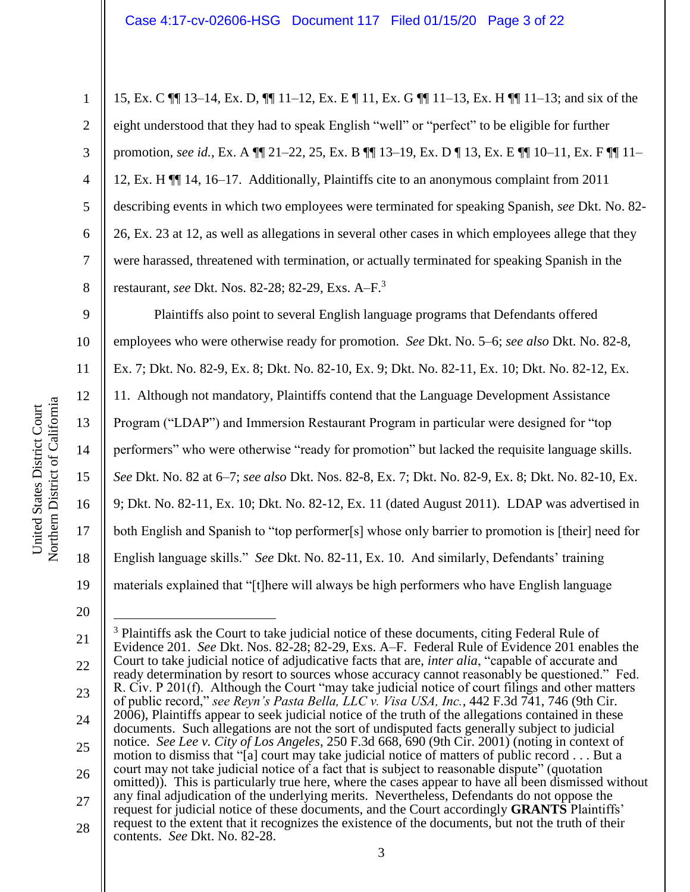15, Ex. C ¶¶ 13–14, Ex. D, ¶¶ 11–12, Ex. E ¶ 11, Ex. G ¶¶ 11–13, Ex. H ¶¶ 11–13; and six of the eight understood that they had to speak English "well" or "perfect" to be eligible for further promotion, *see id.*, Ex. A ¶¶ 21–22, 25, Ex. B ¶¶ 13–19, Ex. D ¶ 13, Ex. E ¶¶ 10–11, Ex. F ¶¶ 11– 12, Ex. H ¶¶ 14, 16–17. Additionally, Plaintiffs cite to an anonymous complaint from 2011 describing events in which two employees were terminated for speaking Spanish, *see* Dkt. No. 82- 26, Ex. 23 at 12, as well as allegations in several other cases in which employees allege that they were harassed, threatened with termination, or actually terminated for speaking Spanish in the restaurant, *see* Dkt. Nos. 82-28; 82-29, Exs. A–F. 3

9 10 11 12 13 14 15 16 17 18 19 Plaintiffs also point to several English language programs that Defendants offered employees who were otherwise ready for promotion. *See* Dkt. No. 5–6; *see also* Dkt. No. 82-8, Ex. 7; Dkt. No. 82-9, Ex. 8; Dkt. No. 82-10, Ex. 9; Dkt. No. 82-11, Ex. 10; Dkt. No. 82-12, Ex. 11. Although not mandatory, Plaintiffs contend that the Language Development Assistance Program ("LDAP") and Immersion Restaurant Program in particular were designed for "top performers" who were otherwise "ready for promotion" but lacked the requisite language skills. *See* Dkt. No. 82 at 6–7; *see also* Dkt. Nos. 82-8, Ex. 7; Dkt. No. 82-9, Ex. 8; Dkt. No. 82-10, Ex. 9; Dkt. No. 82-11, Ex. 10; Dkt. No. 82-12, Ex. 11 (dated August 2011). LDAP was advertised in both English and Spanish to "top performer[s] whose only barrier to promotion is [their] need for English language skills." *See* Dkt. No. 82-11, Ex. 10. And similarly, Defendants' training materials explained that "[t]here will always be high performers who have English language

20

 $\overline{a}$ 

1

2

3

4

5

6

7

8

<sup>21</sup> 22 23 24 25 26 27 28 <sup>3</sup> Plaintiffs ask the Court to take judicial notice of these documents, citing Federal Rule of Evidence 201. *See* Dkt. Nos. 82-28; 82-29, Exs. A–F. Federal Rule of Evidence 201 enables the Court to take judicial notice of adjudicative facts that are, *inter alia*, "capable of accurate and ready determination by resort to sources whose accuracy cannot reasonably be questioned." Fed. R. Civ. P 201(f). Although the Court "may take judicial notice of court filings and other matters of public record," *see Reyn's Pasta Bella, LLC v. Visa USA, Inc.*, 442 F.3d 741, 746 (9th Cir. 2006), Plaintiffs appear to seek judicial notice of the truth of the allegations contained in these documents. Such allegations are not the sort of undisputed facts generally subject to judicial notice. *See Lee v. City of Los Angeles*, 250 F.3d 668, 690 (9th Cir. 2001) (noting in context of motion to dismiss that "[a] court may take judicial notice of matters of public record . . . But a court may not take judicial notice of a fact that is subject to reasonable dispute" (quotation omitted)). This is particularly true here, where the cases appear to have all been dismissed without any final adjudication of the underlying merits. Nevertheless, Defendants do not oppose the request for judicial notice of these documents, and the Court accordingly **GRANTS** Plaintiffs' request to the extent that it recognizes the existence of the documents, but not the truth of their contents. *See* Dkt. No. 82-28.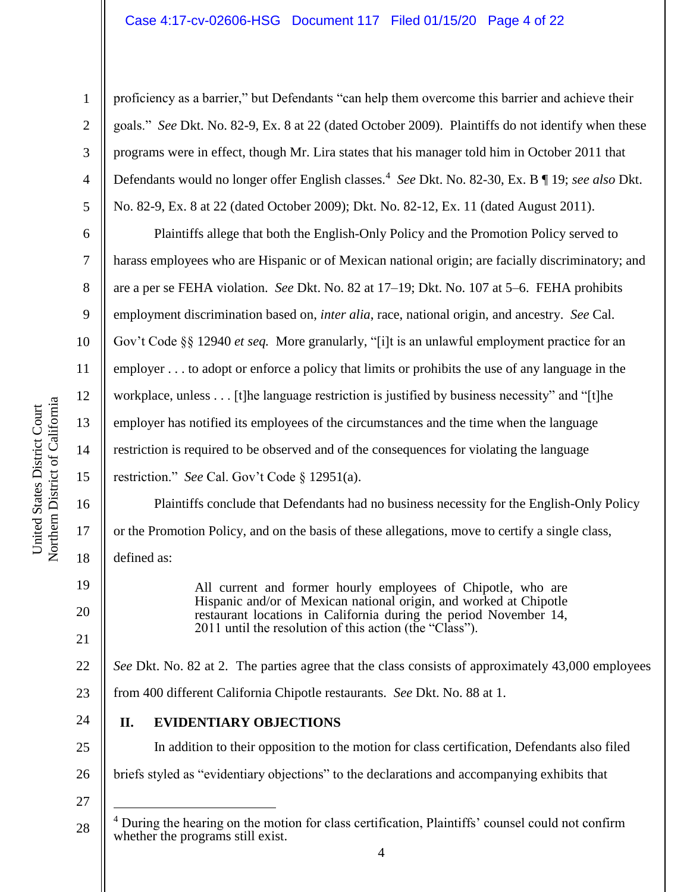### Case 4:17-cv-02606-HSG Document 117 Filed 01/15/20 Page 4 of 22

Northern District of California Northern District of California United States District Court United States District Court

1

2

3

4

5

6

7

8

9

10

11

12

13

14

15

16

17

18

19

20

21

24

25

proficiency as a barrier," but Defendants "can help them overcome this barrier and achieve their goals." *See* Dkt. No. 82-9, Ex. 8 at 22 (dated October 2009). Plaintiffs do not identify when these programs were in effect, though Mr. Lira states that his manager told him in October 2011 that Defendants would no longer offer English classes.<sup>4</sup> *See* Dkt. No. 82-30, Ex. B ¶ 19; *see also* Dkt. No. 82-9, Ex. 8 at 22 (dated October 2009); Dkt. No. 82-12, Ex. 11 (dated August 2011).

Plaintiffs allege that both the English-Only Policy and the Promotion Policy served to harass employees who are Hispanic or of Mexican national origin; are facially discriminatory; and are a per se FEHA violation. *See* Dkt. No. 82 at 17–19; Dkt. No. 107 at 5–6. FEHA prohibits employment discrimination based on, *inter alia*, race, national origin, and ancestry. *See* Cal. Gov't Code §§ 12940 *et seq.* More granularly, "[i]t is an unlawful employment practice for an employer . . . to adopt or enforce a policy that limits or prohibits the use of any language in the workplace, unless . . . [t]he language restriction is justified by business necessity" and "[t]he employer has notified its employees of the circumstances and the time when the language restriction is required to be observed and of the consequences for violating the language restriction." *See* Cal. Gov't Code § 12951(a).

Plaintiffs conclude that Defendants had no business necessity for the English-Only Policy or the Promotion Policy, and on the basis of these allegations, move to certify a single class, defined as:

> All current and former hourly employees of Chipotle, who are Hispanic and/or of Mexican national origin, and worked at Chipotle restaurant locations in California during the period November 14, 2011 until the resolution of this action (the "Class").

22 23 *See Dkt.* No. 82 at 2. The parties agree that the class consists of approximately 43,000 employees from 400 different California Chipotle restaurants. *See* Dkt. No. 88 at 1.

**II. EVIDENTIARY OBJECTIONS**

In addition to their opposition to the motion for class certification, Defendants also filed

26 briefs styled as "evidentiary objections" to the declarations and accompanying exhibits that

27

 $\overline{a}$ 

<sup>28</sup> <sup>4</sup> During the hearing on the motion for class certification, Plaintiffs' counsel could not confirm whether the programs still exist.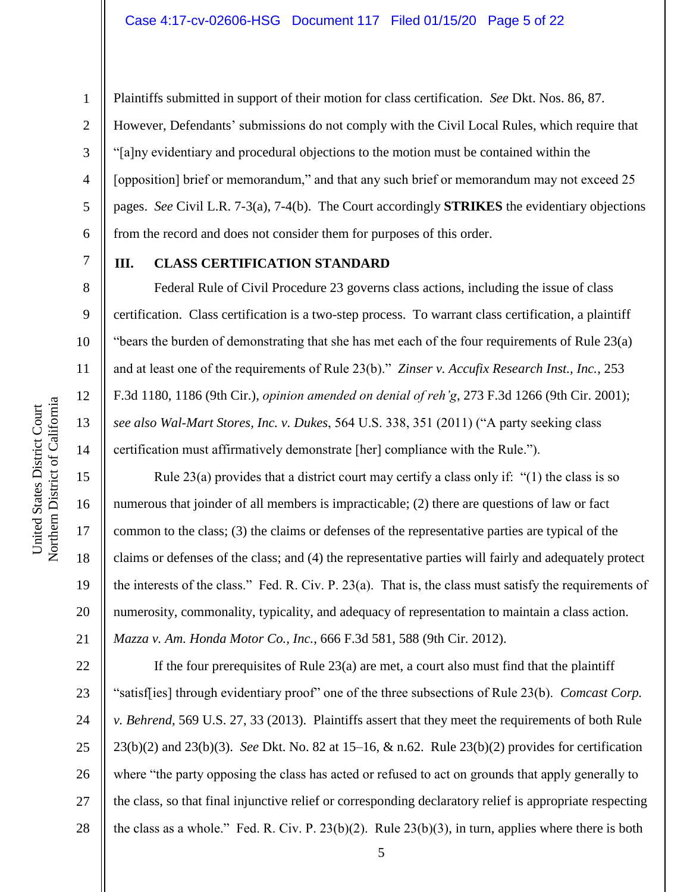13

14

15

16

17

18

19

20

21

1

Plaintiffs submitted in support of their motion for class certification. *See* Dkt. Nos. 86, 87. However, Defendants' submissions do not comply with the Civil Local Rules, which require that "[a]ny evidentiary and procedural objections to the motion must be contained within the [opposition] brief or memorandum," and that any such brief or memorandum may not exceed 25 pages. *See* Civil L.R. 7-3(a), 7-4(b). The Court accordingly **STRIKES** the evidentiary objections from the record and does not consider them for purposes of this order.

# **III. CLASS CERTIFICATION STANDARD**

Federal Rule of Civil Procedure 23 governs class actions, including the issue of class certification. Class certification is a two-step process. To warrant class certification, a plaintiff "bears the burden of demonstrating that she has met each of the four requirements of Rule 23(a) and at least one of the requirements of Rule 23(b)." *Zinser v. Accufix Research Inst., Inc.*, 253 F.3d 1180, 1186 (9th Cir.), *opinion amended on denial of reh'g*, 273 F.3d 1266 (9th Cir. 2001); *see also Wal-Mart Stores, Inc. v. Dukes*, 564 U.S. 338, 351 (2011) ("A party seeking class certification must affirmatively demonstrate [her] compliance with the Rule.").

Rule 23(a) provides that a district court may certify a class only if: "(1) the class is so numerous that joinder of all members is impracticable; (2) there are questions of law or fact common to the class; (3) the claims or defenses of the representative parties are typical of the claims or defenses of the class; and (4) the representative parties will fairly and adequately protect the interests of the class." Fed. R. Civ. P. 23(a). That is, the class must satisfy the requirements of numerosity, commonality, typicality, and adequacy of representation to maintain a class action. *Mazza v. Am. Honda Motor Co., Inc.*, 666 F.3d 581, 588 (9th Cir. 2012).

22 23 24 25 26 27 28 If the four prerequisites of Rule  $23(a)$  are met, a court also must find that the plaintiff "satisf[ies] through evidentiary proof" one of the three subsections of Rule 23(b). *Comcast Corp. v. Behrend*, 569 U.S. 27, 33 (2013). Plaintiffs assert that they meet the requirements of both Rule 23(b)(2) and 23(b)(3). *See* Dkt. No. 82 at 15–16, & n.62. Rule 23(b)(2) provides for certification where "the party opposing the class has acted or refused to act on grounds that apply generally to the class, so that final injunctive relief or corresponding declaratory relief is appropriate respecting the class as a whole." Fed. R. Civ. P. 23(b)(2). Rule 23(b)(3), in turn, applies where there is both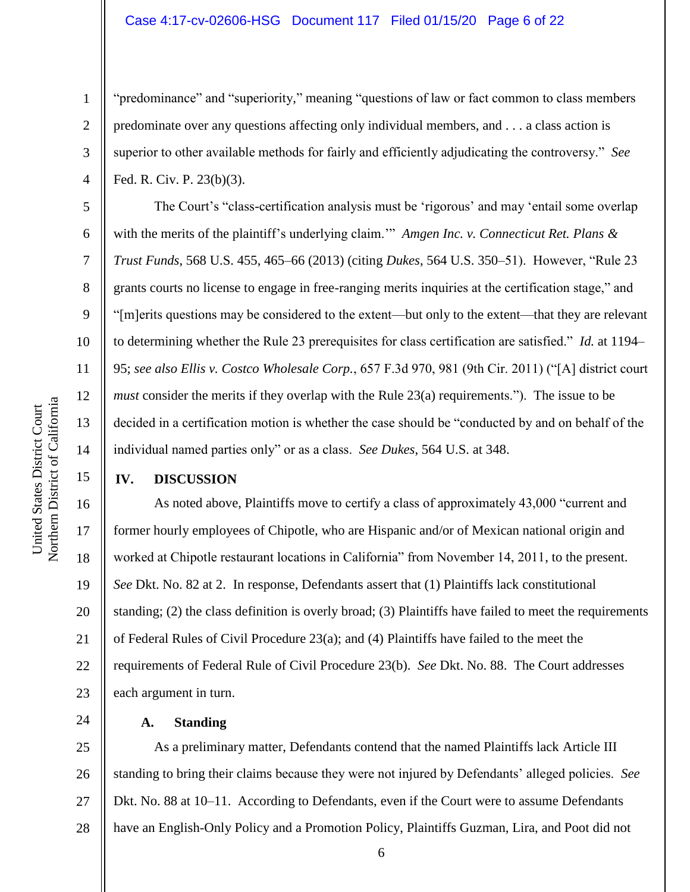#### Case 4:17-cv-02606-HSG Document 117 Filed 01/15/20 Page 6 of 22

"predominance" and "superiority," meaning "questions of law or fact common to class members predominate over any questions affecting only individual members, and . . . a class action is superior to other available methods for fairly and efficiently adjudicating the controversy." *See*  Fed. R. Civ. P. 23(b)(3).

The Court's "class-certification analysis must be 'rigorous' and may 'entail some overlap with the merits of the plaintiff's underlying claim.'" *Amgen Inc. v. Connecticut Ret. Plans & Trust Funds*, 568 U.S. 455, 465–66 (2013) (citing *Dukes*, 564 U.S. 350–51). However, "Rule 23 grants courts no license to engage in free-ranging merits inquiries at the certification stage," and "[m]erits questions may be considered to the extent––but only to the extent––that they are relevant to determining whether the Rule 23 prerequisites for class certification are satisfied." *Id.* at 1194– 95; *see also Ellis v. Costco Wholesale Corp.*, 657 F.3d 970, 981 (9th Cir. 2011) ("[A] district court *must* consider the merits if they overlap with the Rule 23(a) requirements."). The issue to be decided in a certification motion is whether the case should be "conducted by and on behalf of the individual named parties only" or as a class. *See Dukes*, 564 U.S. at 348.

#### **IV. DISCUSSION**

16 17 18 19 20 21 22 23 As noted above, Plaintiffs move to certify a class of approximately 43,000 "current and former hourly employees of Chipotle, who are Hispanic and/or of Mexican national origin and worked at Chipotle restaurant locations in California" from November 14, 2011, to the present. *See* Dkt. No. 82 at 2. In response, Defendants assert that (1) Plaintiffs lack constitutional standing; (2) the class definition is overly broad; (3) Plaintiffs have failed to meet the requirements of Federal Rules of Civil Procedure  $23(a)$ ; and (4) Plaintiffs have failed to the meet the requirements of Federal Rule of Civil Procedure 23(b). *See* Dkt. No. 88. The Court addresses each argument in turn.

**A. Standing**

25 26 27 28 As a preliminary matter, Defendants contend that the named Plaintiffs lack Article III standing to bring their claims because they were not injured by Defendants' alleged policies. *See*  Dkt. No. 88 at 10–11. According to Defendants, even if the Court were to assume Defendants have an English-Only Policy and a Promotion Policy, Plaintiffs Guzman, Lira, and Poot did not

1

2

3

4

5

6

7

8

9

10

11

12

13

14

15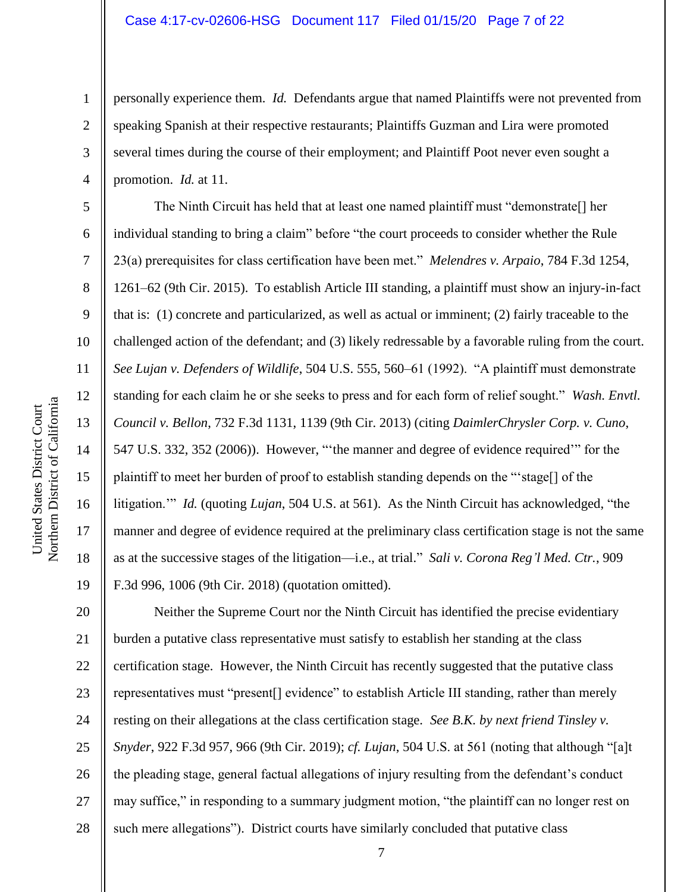personally experience them. *Id.* Defendants argue that named Plaintiffs were not prevented from speaking Spanish at their respective restaurants; Plaintiffs Guzman and Lira were promoted several times during the course of their employment; and Plaintiff Poot never even sought a promotion. *Id.* at 11.

The Ninth Circuit has held that at least one named plaintiff must "demonstrate[] her individual standing to bring a claim" before "the court proceeds to consider whether the Rule 23(a) prerequisites for class certification have been met." *Melendres v. Arpaio*, 784 F.3d 1254, 1261–62 (9th Cir. 2015). To establish Article III standing, a plaintiff must show an injury-in-fact that is: (1) concrete and particularized, as well as actual or imminent; (2) fairly traceable to the challenged action of the defendant; and (3) likely redressable by a favorable ruling from the court. *See Lujan v. Defenders of Wildlife*, 504 U.S. 555, 560–61 (1992). "A plaintiff must demonstrate standing for each claim he or she seeks to press and for each form of relief sought." *Wash. Envtl. Council v. Bellon*, 732 F.3d 1131, 1139 (9th Cir. 2013) (citing *DaimlerChrysler Corp. v. Cuno*, 547 U.S. 332, 352 (2006)). However, "'the manner and degree of evidence required'" for the plaintiff to meet her burden of proof to establish standing depends on the "'stage[] of the litigation.'" *Id.* (quoting *Lujan*, 504 U.S. at 561). As the Ninth Circuit has acknowledged, "the manner and degree of evidence required at the preliminary class certification stage is not the same as at the successive stages of the litigation—i.e., at trial." *Sali v. Corona Reg'l Med. Ctr.*, 909 F.3d 996, 1006 (9th Cir. 2018) (quotation omitted).

20 21 22 23 24 25 26 27 28 Neither the Supreme Court nor the Ninth Circuit has identified the precise evidentiary burden a putative class representative must satisfy to establish her standing at the class certification stage. However, the Ninth Circuit has recently suggested that the putative class representatives must "present[] evidence" to establish Article III standing, rather than merely resting on their allegations at the class certification stage. *See B.K. by next friend Tinsley v. Snyder*, 922 F.3d 957, 966 (9th Cir. 2019); *cf. Lujan*, 504 U.S. at 561 (noting that although "[a]t the pleading stage, general factual allegations of injury resulting from the defendant's conduct may suffice," in responding to a summary judgment motion, "the plaintiff can no longer rest on such mere allegations"). District courts have similarly concluded that putative class

1

2

3

4

5

6

7

8

9

10

11

12

13

14

15

16

17

18

19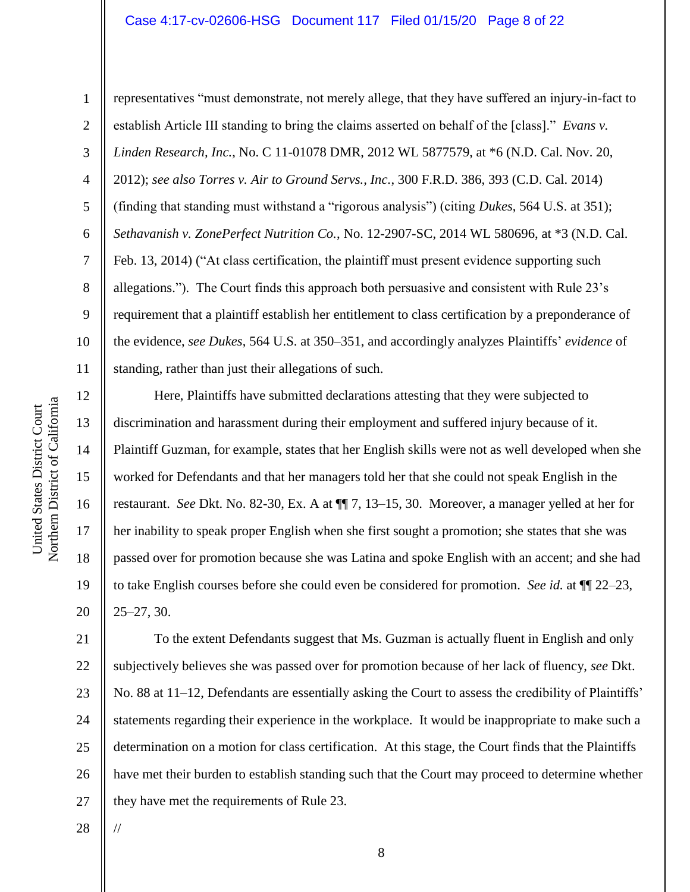# Case 4:17-cv-02606-HSG Document 117 Filed 01/15/20 Page 8 of 22

12

13

14

15

16

17

18

19

20

1 2 3 4 5 6 7 8 9 10 11 representatives "must demonstrate, not merely allege, that they have suffered an injury-in-fact to establish Article III standing to bring the claims asserted on behalf of the [class]." *Evans v. Linden Research, Inc.*, No. C 11-01078 DMR, 2012 WL 5877579, at \*6 (N.D. Cal. Nov. 20, 2012); *see also Torres v. Air to Ground Servs., Inc.*, 300 F.R.D. 386, 393 (C.D. Cal. 2014) (finding that standing must withstand a "rigorous analysis") (citing *Dukes*, 564 U.S. at 351); *Sethavanish v. ZonePerfect Nutrition Co.*, No. 12-2907-SC, 2014 WL 580696, at \*3 (N.D. Cal. Feb. 13, 2014) ("At class certification, the plaintiff must present evidence supporting such allegations."). The Court finds this approach both persuasive and consistent with Rule 23's requirement that a plaintiff establish her entitlement to class certification by a preponderance of the evidence, *see Dukes*, 564 U.S. at 350–351, and accordingly analyzes Plaintiffs' *evidence* of standing, rather than just their allegations of such.

Here, Plaintiffs have submitted declarations attesting that they were subjected to discrimination and harassment during their employment and suffered injury because of it. Plaintiff Guzman, for example, states that her English skills were not as well developed when she worked for Defendants and that her managers told her that she could not speak English in the restaurant. *See* Dkt. No. 82-30, Ex. A at ¶¶ 7, 13–15, 30. Moreover, a manager yelled at her for her inability to speak proper English when she first sought a promotion; she states that she was passed over for promotion because she was Latina and spoke English with an accent; and she had to take English courses before she could even be considered for promotion. *See id.* at ¶¶ 22–23, 25–27, 30.

21 22 23 24 25 26 27 To the extent Defendants suggest that Ms. Guzman is actually fluent in English and only subjectively believes she was passed over for promotion because of her lack of fluency, *see* Dkt. No. 88 at 11–12, Defendants are essentially asking the Court to assess the credibility of Plaintiffs' statements regarding their experience in the workplace. It would be inappropriate to make such a determination on a motion for class certification. At this stage, the Court finds that the Plaintiffs have met their burden to establish standing such that the Court may proceed to determine whether they have met the requirements of Rule 23.

28

//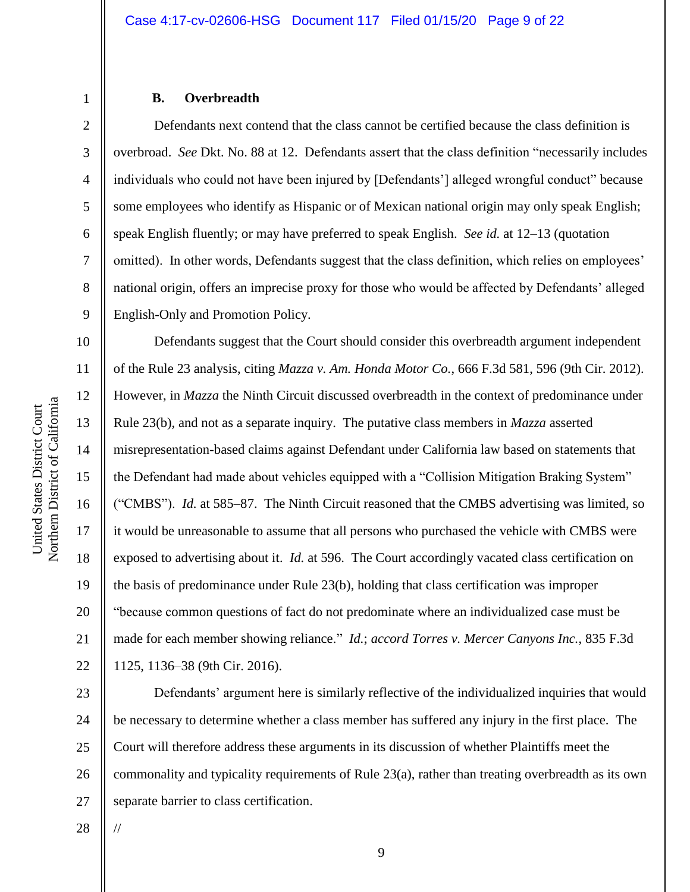# 2 3 4 5 6 7

8

9

1

#### **B. Overbreadth**

Defendants next contend that the class cannot be certified because the class definition is overbroad. *See* Dkt. No. 88 at 12. Defendants assert that the class definition "necessarily includes individuals who could not have been injured by [Defendants'] alleged wrongful conduct" because some employees who identify as Hispanic or of Mexican national origin may only speak English; speak English fluently; or may have preferred to speak English. *See id.* at 12–13 (quotation omitted). In other words, Defendants suggest that the class definition, which relies on employees' national origin, offers an imprecise proxy for those who would be affected by Defendants' alleged English-Only and Promotion Policy.

10 11 12 13 14 15 16 17 18 19 20 21 22 Defendants suggest that the Court should consider this overbreadth argument independent of the Rule 23 analysis, citing *Mazza v. Am. Honda Motor Co.*, 666 F.3d 581, 596 (9th Cir. 2012). However, in *Mazza* the Ninth Circuit discussed overbreadth in the context of predominance under Rule 23(b), and not as a separate inquiry. The putative class members in *Mazza* asserted misrepresentation-based claims against Defendant under California law based on statements that the Defendant had made about vehicles equipped with a "Collision Mitigation Braking System" ("CMBS"). *Id.* at 585–87. The Ninth Circuit reasoned that the CMBS advertising was limited, so it would be unreasonable to assume that all persons who purchased the vehicle with CMBS were exposed to advertising about it. *Id.* at 596. The Court accordingly vacated class certification on the basis of predominance under Rule 23(b), holding that class certification was improper "because common questions of fact do not predominate where an individualized case must be made for each member showing reliance." *Id.*; *accord Torres v. Mercer Canyons Inc.*, 835 F.3d 1125, 1136–38 (9th Cir. 2016).

23 24 25 26 27 Defendants' argument here is similarly reflective of the individualized inquiries that would be necessary to determine whether a class member has suffered any injury in the first place. The Court will therefore address these arguments in its discussion of whether Plaintiffs meet the commonality and typicality requirements of Rule 23(a), rather than treating overbreadth as its own separate barrier to class certification.

28

//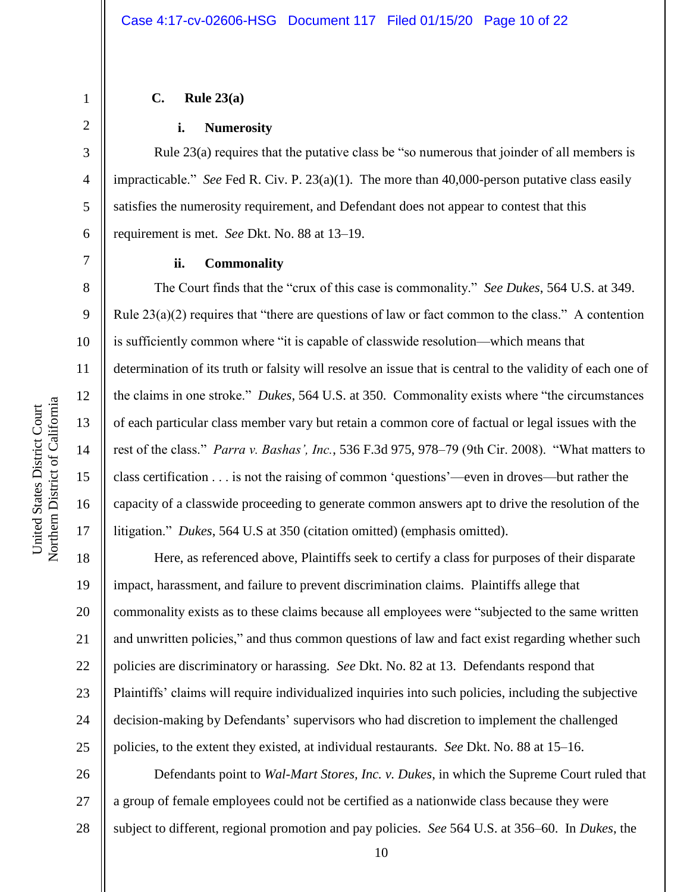### **C. Rule 23(a)**

#### **i. Numerosity**

Rule 23(a) requires that the putative class be "so numerous that joinder of all members is impracticable." *See* Fed R. Civ. P. 23(a)(1). The more than 40,000-person putative class easily satisfies the numerosity requirement, and Defendant does not appear to contest that this requirement is met. *See* Dkt. No. 88 at 13–19.

1

2

3

4

5

6

7

8

9

10

11

12

13

14

15

16

17

#### **ii. Commonality**

The Court finds that the "crux of this case is commonality." *See Dukes*, 564 U.S. at 349. Rule  $23(a)(2)$  requires that "there are questions of law or fact common to the class." A contention is sufficiently common where "it is capable of classwide resolution—which means that determination of its truth or falsity will resolve an issue that is central to the validity of each one of the claims in one stroke." *Dukes*, 564 U.S. at 350. Commonality exists where "the circumstances of each particular class member vary but retain a common core of factual or legal issues with the rest of the class." *Parra v. Bashas', Inc.*, 536 F.3d 975, 978–79 (9th Cir. 2008). "What matters to class certification . . . is not the raising of common 'questions'—even in droves—but rather the capacity of a classwide proceeding to generate common answers apt to drive the resolution of the litigation." *Dukes*, 564 U.S at 350 (citation omitted) (emphasis omitted).

18 19 20 21 22 23 24 25 Here, as referenced above, Plaintiffs seek to certify a class for purposes of their disparate impact, harassment, and failure to prevent discrimination claims.Plaintiffs allege that commonality exists as to these claims because all employees were "subjected to the same written and unwritten policies," and thus common questions of law and fact exist regarding whether such policies are discriminatory or harassing. *See* Dkt. No. 82 at 13. Defendants respond that Plaintiffs' claims will require individualized inquiries into such policies, including the subjective decision-making by Defendants' supervisors who had discretion to implement the challenged policies, to the extent they existed, at individual restaurants. *See* Dkt. No. 88 at 15–16.

26 27 28 Defendants point to *Wal-Mart Stores, Inc. v. Dukes*, in which the Supreme Court ruled that a group of female employees could not be certified as a nationwide class because they were subject to different, regional promotion and pay policies. *See* 564 U.S. at 356–60. In *Dukes*, the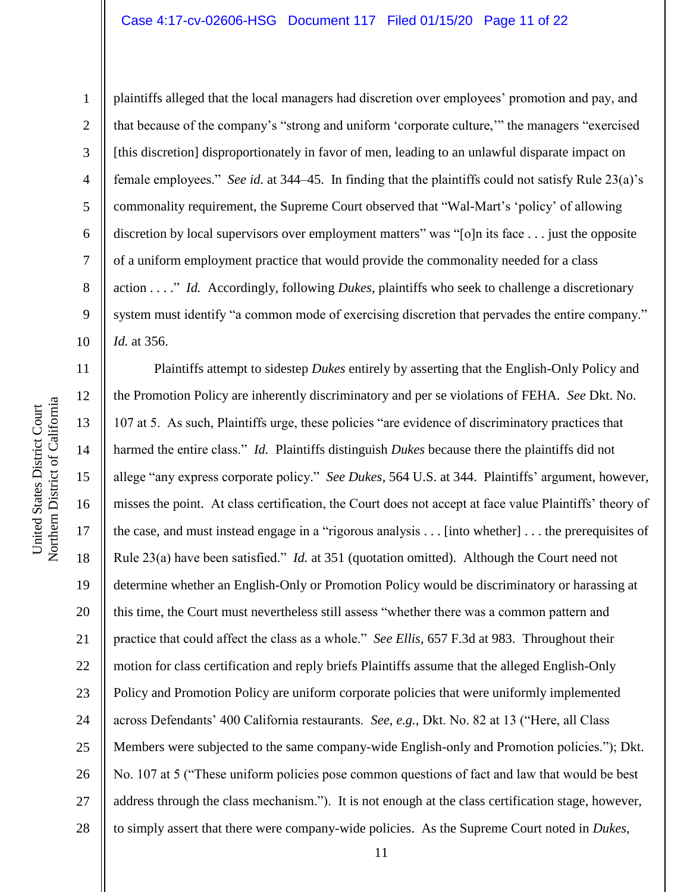Northern District of California Northern District of California

United States District Court

United States District Court

1 2 3 4 5 6 7 8 9 10 plaintiffs alleged that the local managers had discretion over employees' promotion and pay, and that because of the company's "strong and uniform 'corporate culture,'" the managers "exercised [this discretion] disproportionately in favor of men, leading to an unlawful disparate impact on female employees." *See id.* at 344–45. In finding that the plaintiffs could not satisfy Rule 23(a)'s commonality requirement, the Supreme Court observed that "Wal-Mart's 'policy' of allowing discretion by local supervisors over employment matters" was "[o]n its face . . . just the opposite of a uniform employment practice that would provide the commonality needed for a class action . . . ." *Id.* Accordingly, following *Dukes*, plaintiffs who seek to challenge a discretionary system must identify "a common mode of exercising discretion that pervades the entire company." *Id.* at 356.

11 12 13 14 15 16 17 18 19 20 21 22 23 24 25 26 27 28 Plaintiffs attempt to sidestep *Dukes* entirely by asserting that the English-Only Policy and the Promotion Policy are inherently discriminatory and per se violations of FEHA. *See* Dkt. No. 107 at 5. As such, Plaintiffs urge, these policies "are evidence of discriminatory practices that harmed the entire class." *Id.* Plaintiffs distinguish *Dukes* because there the plaintiffs did not allege "any express corporate policy." *See Dukes*, 564 U.S. at 344. Plaintiffs' argument, however, misses the point. At class certification, the Court does not accept at face value Plaintiffs' theory of the case, and must instead engage in a "rigorous analysis . . . [into whether] . . . the prerequisites of Rule 23(a) have been satisfied." *Id.* at 351 (quotation omitted). Although the Court need not determine whether an English-Only or Promotion Policy would be discriminatory or harassing at this time, the Court must nevertheless still assess "whether there was a common pattern and practice that could affect the class as a whole." *See Ellis*, 657 F.3d at 983. Throughout their motion for class certification and reply briefs Plaintiffs assume that the alleged English-Only Policy and Promotion Policy are uniform corporate policies that were uniformly implemented across Defendants' 400 California restaurants. *See, e.g.*, Dkt. No. 82 at 13 ("Here, all Class Members were subjected to the same company-wide English-only and Promotion policies."); Dkt. No. 107 at 5 ("These uniform policies pose common questions of fact and law that would be best address through the class mechanism."). It is not enough at the class certification stage, however, to simply assert that there were company-wide policies. As the Supreme Court noted in *Dukes*,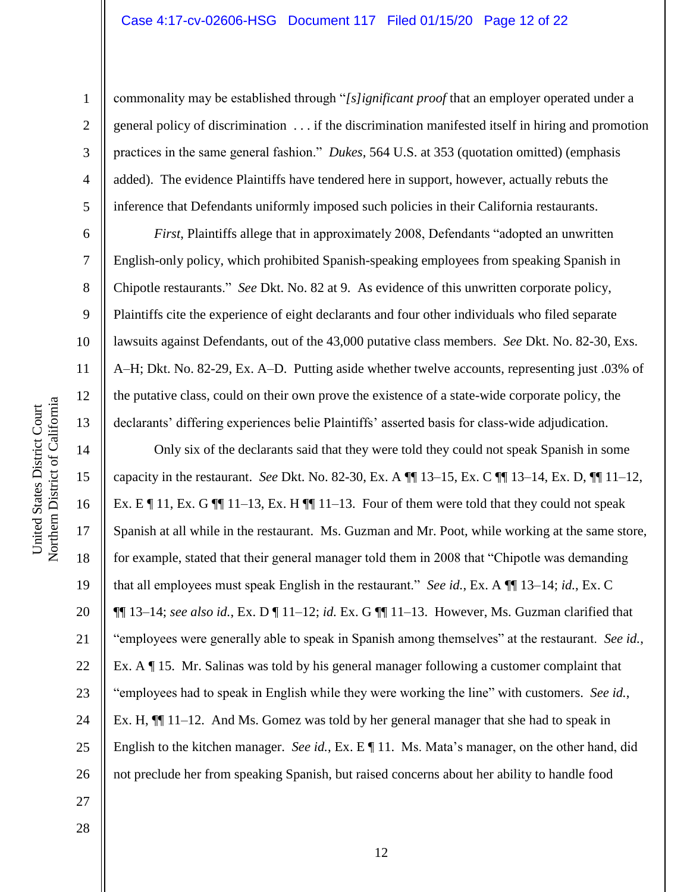Northern District of California Northern District of California United States District Court

United States District Court

1

2

3

6

7

8

9

10

11

12

13

15

17

18

19

21

4 5 commonality may be established through "*[s]ignificant proof* that an employer operated under a general policy of discrimination . . . if the discrimination manifested itself in hiring and promotion practices in the same general fashion." *Dukes*, 564 U.S. at 353 (quotation omitted) (emphasis added). The evidence Plaintiffs have tendered here in support, however, actually rebuts the inference that Defendants uniformly imposed such policies in their California restaurants.

*First*, Plaintiffs allege that in approximately 2008, Defendants "adopted an unwritten English-only policy, which prohibited Spanish-speaking employees from speaking Spanish in Chipotle restaurants." *See* Dkt. No. 82 at 9. As evidence of this unwritten corporate policy, Plaintiffs cite the experience of eight declarants and four other individuals who filed separate lawsuits against Defendants, out of the 43,000 putative class members. *See* Dkt. No. 82-30, Exs. A–H; Dkt. No. 82-29, Ex. A–D. Putting aside whether twelve accounts, representing just .03% of the putative class, could on their own prove the existence of a state-wide corporate policy, the declarants' differing experiences belie Plaintiffs' asserted basis for class-wide adjudication.

14 16 20 22 23 24 26 Only six of the declarants said that they were told they could not speak Spanish in some capacity in the restaurant. *See* Dkt. No. 82-30, Ex. A ¶¶ 13–15, Ex. C ¶¶ 13–14, Ex. D, ¶¶ 11–12, Ex. E  $\P$  11, Ex. G  $\P$  11–13, Ex. H  $\P$  11–13. Four of them were told that they could not speak Spanish at all while in the restaurant. Ms. Guzman and Mr. Poot, while working at the same store, for example, stated that their general manager told them in 2008 that "Chipotle was demanding that all employees must speak English in the restaurant." *See id.*, Ex. A ¶¶ 13–14; *id.*, Ex. C ¶¶ 13–14; *see also id.*, Ex. D ¶ 11–12; *id.* Ex. G ¶¶ 11–13. However, Ms. Guzman clarified that "employees were generally able to speak in Spanish among themselves" at the restaurant. *See id.*, Ex. A ¶ 15. Mr. Salinas was told by his general manager following a customer complaint that "employees had to speak in English while they were working the line" with customers. *See id.*, Ex. H, ¶¶ 11–12. And Ms. Gomez was told by her general manager that she had to speak in English to the kitchen manager. *See id.*, Ex. E ¶ 11. Ms. Mata's manager, on the other hand, did not preclude her from speaking Spanish, but raised concerns about her ability to handle food

28

27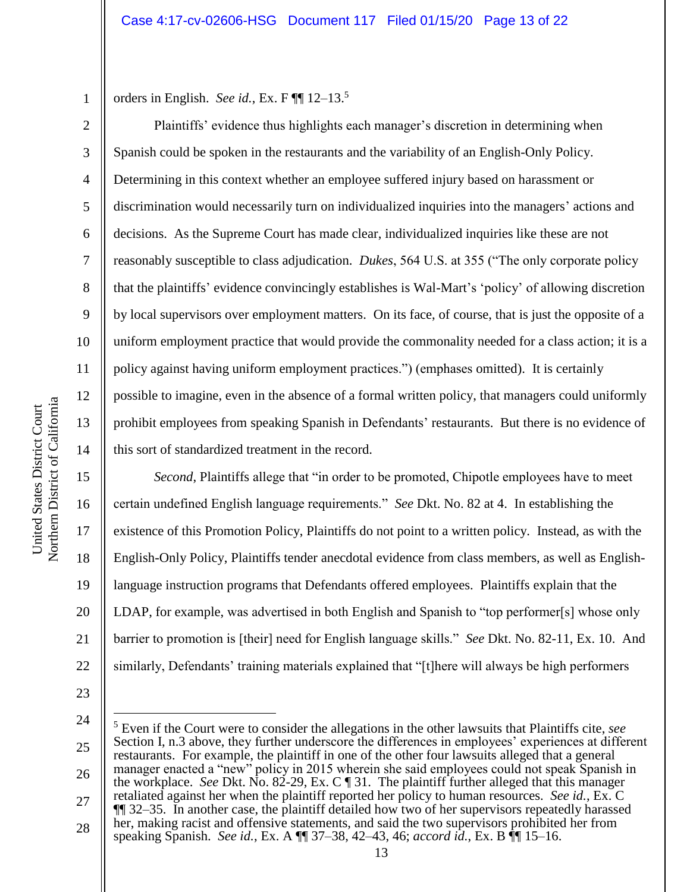1 orders in English. *See id.*, Ex. F ¶¶ 12–13.<sup>5</sup>

Plaintiffs' evidence thus highlights each manager's discretion in determining when Spanish could be spoken in the restaurants and the variability of an English-Only Policy. Determining in this context whether an employee suffered injury based on harassment or discrimination would necessarily turn on individualized inquiries into the managers' actions and decisions. As the Supreme Court has made clear, individualized inquiries like these are not reasonably susceptible to class adjudication. *Dukes*, 564 U.S. at 355 ("The only corporate policy that the plaintiffs' evidence convincingly establishes is Wal-Mart's 'policy' of allowing discretion by local supervisors over employment matters. On its face, of course, that is just the opposite of a uniform employment practice that would provide the commonality needed for a class action; it is a policy against having uniform employment practices.") (emphases omitted). It is certainly possible to imagine, even in the absence of a formal written policy, that managers could uniformly prohibit employees from speaking Spanish in Defendants' restaurants. But there is no evidence of this sort of standardized treatment in the record.

*Second*, Plaintiffs allege that "in order to be promoted, Chipotle employees have to meet certain undefined English language requirements." *See* Dkt. No. 82 at 4. In establishing the existence of this Promotion Policy, Plaintiffs do not point to a written policy. Instead, as with the English-Only Policy, Plaintiffs tender anecdotal evidence from class members, as well as Englishlanguage instruction programs that Defendants offered employees. Plaintiffs explain that the LDAP, for example, was advertised in both English and Spanish to "top performer[s] whose only barrier to promotion is [their] need for English language skills." *See* Dkt. No. 82-11, Ex. 10. And similarly, Defendants' training materials explained that "[t]here will always be high performers

23

22

24

 $\overline{a}$ 

25 26 27 28 <sup>5</sup> Even if the Court were to consider the allegations in the other lawsuits that Plaintiffs cite, *see*  Section I, n.3 above, they further underscore the differences in employees' experiences at different restaurants. For example, the plaintiff in one of the other four lawsuits alleged that a general manager enacted a "new" policy in 2015 wherein she said employees could not speak Spanish in the workplace. *See* Dkt. No. 82-29, Ex. C ¶ 31. The plaintiff further alleged that this manager retaliated against her when the plaintiff reported her policy to human resources. *See id.*, Ex. C ¶¶ 32–35. In another case, the plaintiff detailed how two of her supervisors repeatedly harassed her, making racist and offensive statements, and said the two supervisors prohibited her from

2

3

4

5

6

7

8

9

10

11

12

13

14

15

16

17

18

19

20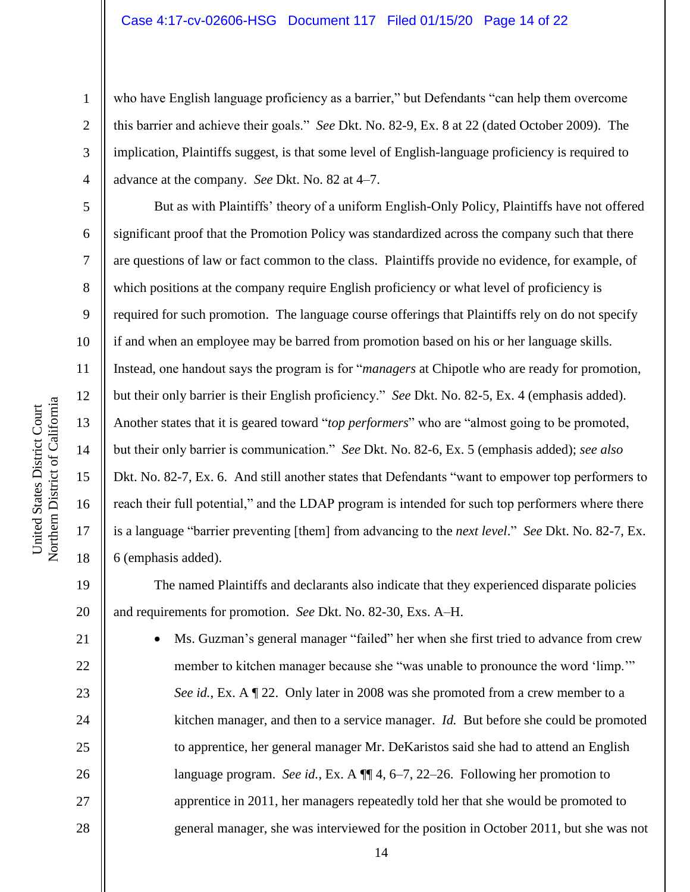who have English language proficiency as a barrier," but Defendants "can help them overcome this barrier and achieve their goals." *See* Dkt. No. 82-9, Ex. 8 at 22 (dated October 2009). The implication, Plaintiffs suggest, is that some level of English-language proficiency is required to advance at the company. *See* Dkt. No. 82 at 4–7.

But as with Plaintiffs' theory of a uniform English-Only Policy, Plaintiffs have not offered significant proof that the Promotion Policy was standardized across the company such that there are questions of law or fact common to the class. Plaintiffs provide no evidence, for example, of which positions at the company require English proficiency or what level of proficiency is required for such promotion. The language course offerings that Plaintiffs rely on do not specify if and when an employee may be barred from promotion based on his or her language skills. Instead, one handout says the program is for "*managers* at Chipotle who are ready for promotion, but their only barrier is their English proficiency." *See* Dkt. No. 82-5, Ex. 4 (emphasis added). Another states that it is geared toward "*top performers*" who are "almost going to be promoted, but their only barrier is communication." *See* Dkt. No. 82-6, Ex. 5 (emphasis added); *see also*  Dkt. No. 82-7, Ex. 6. And still another states that Defendants "want to empower top performers to reach their full potential," and the LDAP program is intended for such top performers where there is a language "barrier preventing [them] from advancing to the *next level*." *See* Dkt. No. 82-7, Ex. 6 (emphasis added).

The named Plaintiffs and declarants also indicate that they experienced disparate policies and requirements for promotion. *See* Dkt. No. 82-30, Exs. A–H.

• Ms. Guzman's general manager "failed" her when she first tried to advance from crew member to kitchen manager because she "was unable to pronounce the word 'limp."" *See id.*, Ex. A ¶ 22. Only later in 2008 was she promoted from a crew member to a kitchen manager, and then to a service manager. *Id.* But before she could be promoted to apprentice, her general manager Mr. DeKaristos said she had to attend an English language program. *See id.*, Ex. A ¶¶ 4, 6–7, 22–26. Following her promotion to apprentice in 2011, her managers repeatedly told her that she would be promoted to general manager, she was interviewed for the position in October 2011, but she was not

1

2

3

4

5

6

7

8

9

10

11

12

13

14

15

16

17

18

19

20

21

22

23

24

25

26

27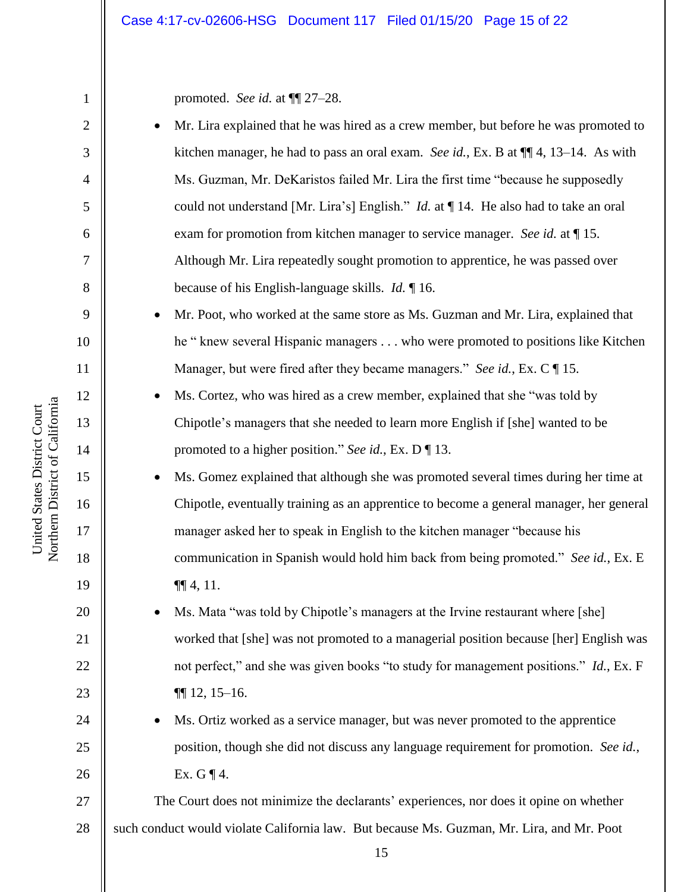promoted. *See id.* at ¶¶ 27–28.

- Mr. Lira explained that he was hired as a crew member, but before he was promoted to kitchen manager, he had to pass an oral exam. *See id.*, Ex. B at ¶¶ 4, 13–14. As with Ms. Guzman, Mr. DeKaristos failed Mr. Lira the first time "because he supposedly could not understand [Mr. Lira's] English." *Id.* at ¶ 14. He also had to take an oral exam for promotion from kitchen manager to service manager. *See id.* at ¶ 15. Although Mr. Lira repeatedly sought promotion to apprentice, he was passed over because of his English-language skills. *Id.* ¶ 16.
- Mr. Poot, who worked at the same store as Ms. Guzman and Mr. Lira, explained that he " knew several Hispanic managers . . . who were promoted to positions like Kitchen Manager, but were fired after they became managers." *See id.*, Ex. C ¶ 15.
	- Ms. Cortez, who was hired as a crew member, explained that she "was told by Chipotle's managers that she needed to learn more English if [she] wanted to be promoted to a higher position." *See id.*, Ex. D ¶ 13.
- Ms. Gomez explained that although she was promoted several times during her time at Chipotle, eventually training as an apprentice to become a general manager, her general manager asked her to speak in English to the kitchen manager "because his communication in Spanish would hold him back from being promoted." *See id.*, Ex. E  $\P\P$  4, 11.
- Ms. Mata "was told by Chipotle's managers at the Irvine restaurant where [she] worked that [she] was not promoted to a managerial position because [her] English was not perfect," and she was given books "to study for management positions." *Id.*, Ex. F ¶¶ 12, 15–16.
- Ms. Ortiz worked as a service manager, but was never promoted to the apprentice position, though she did not discuss any language requirement for promotion. *See id.*, Ex. G  $\P$  4.

27 28 The Court does not minimize the declarants' experiences, nor does it opine on whether such conduct would violate California law. But because Ms. Guzman, Mr. Lira, and Mr. Poot

1

2

3

4

5

6

7

8

9

10

11

12

13

14

15

16

17

18

19

20

21

22

23

24

25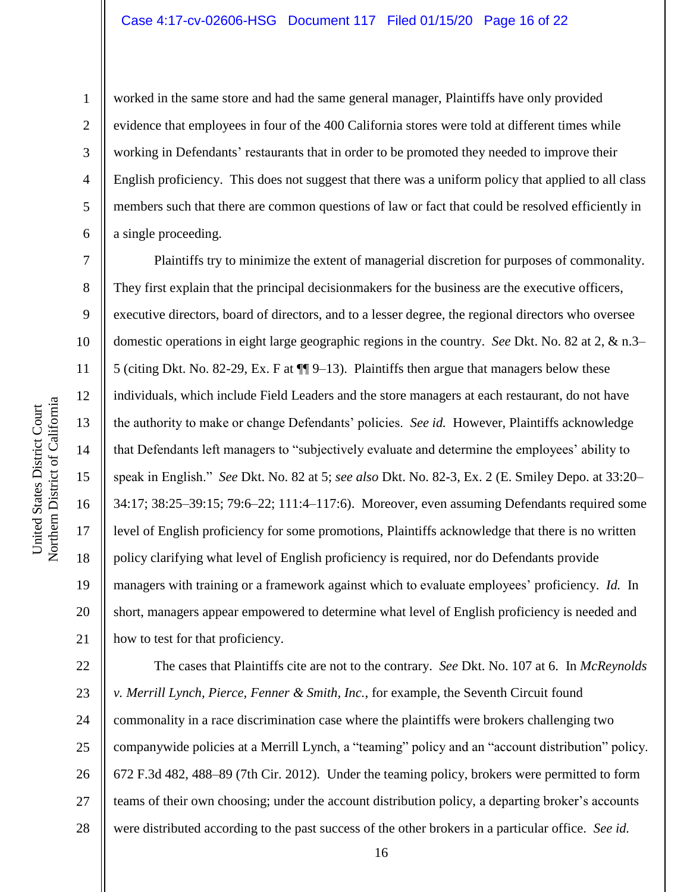1

2

3

4

5

6

7

8

14

15

16

17

18

19

20

21

worked in the same store and had the same general manager, Plaintiffs have only provided evidence that employees in four of the 400 California stores were told at different times while working in Defendants' restaurants that in order to be promoted they needed to improve their English proficiency. This does not suggest that there was a uniform policy that applied to all class members such that there are common questions of law or fact that could be resolved efficiently in a single proceeding.

Plaintiffs try to minimize the extent of managerial discretion for purposes of commonality. They first explain that the principal decisionmakers for the business are the executive officers, executive directors, board of directors, and to a lesser degree, the regional directors who oversee domestic operations in eight large geographic regions in the country. *See* Dkt. No. 82 at 2, & n.3– 5 (citing Dkt. No. 82-29, Ex. F at ¶¶ 9–13). Plaintiffs then argue that managers below these individuals, which include Field Leaders and the store managers at each restaurant, do not have the authority to make or change Defendants' policies. *See id.* However, Plaintiffs acknowledge that Defendants left managers to "subjectively evaluate and determine the employees' ability to speak in English." *See* Dkt. No. 82 at 5; *see also* Dkt. No. 82-3, Ex. 2 (E. Smiley Depo. at 33:20– 34:17; 38:25–39:15; 79:6–22; 111:4–117:6). Moreover, even assuming Defendants required some level of English proficiency for some promotions, Plaintiffs acknowledge that there is no written policy clarifying what level of English proficiency is required, nor do Defendants provide managers with training or a framework against which to evaluate employees' proficiency. *Id.* In short, managers appear empowered to determine what level of English proficiency is needed and how to test for that proficiency.

22 23 24 25 26 27 28 The cases that Plaintiffs cite are not to the contrary. *See* Dkt. No. 107 at 6. In *McReynolds v. Merrill Lynch, Pierce, Fenner & Smith, Inc.*, for example, the Seventh Circuit found commonality in a race discrimination case where the plaintiffs were brokers challenging two companywide policies at a Merrill Lynch, a "teaming" policy and an "account distribution" policy. 672 F.3d 482, 488–89 (7th Cir. 2012). Under the teaming policy, brokers were permitted to form teams of their own choosing; under the account distribution policy, a departing broker's accounts were distributed according to the past success of the other brokers in a particular office. *See id.*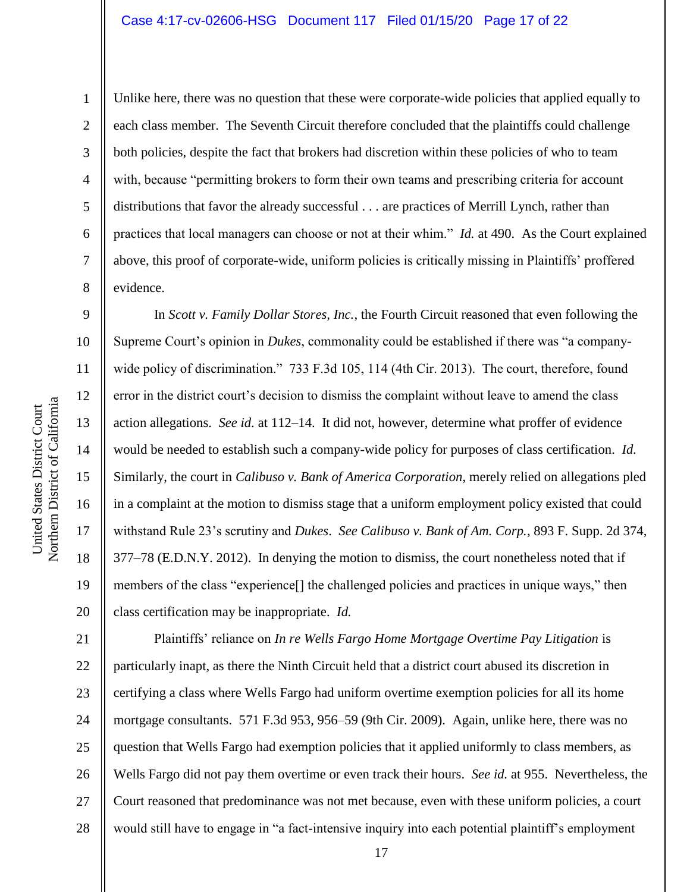Northern District of California Northern District of California United States District Court

1

2

3

4

5

6

7

8

9

10

11

12

13

14

15

United States District Court

16

17

18

19

20

Unlike here, there was no question that these were corporate-wide policies that applied equally to each class member. The Seventh Circuit therefore concluded that the plaintiffs could challenge both policies, despite the fact that brokers had discretion within these policies of who to team with, because "permitting brokers to form their own teams and prescribing criteria for account distributions that favor the already successful . . . are practices of Merrill Lynch, rather than practices that local managers can choose or not at their whim." *Id.* at 490. As the Court explained above, this proof of corporate-wide, uniform policies is critically missing in Plaintiffs' proffered evidence.

In *Scott v. Family Dollar Stores, Inc.*, the Fourth Circuit reasoned that even following the Supreme Court's opinion in *Dukes*, commonality could be established if there was "a companywide policy of discrimination." 733 F.3d 105, 114 (4th Cir. 2013). The court, therefore, found error in the district court's decision to dismiss the complaint without leave to amend the class action allegations. *See id.* at 112–14. It did not, however, determine what proffer of evidence would be needed to establish such a company-wide policy for purposes of class certification. *Id.*  Similarly, the court in *Calibuso v. Bank of America Corporation*, merely relied on allegations pled in a complaint at the motion to dismiss stage that a uniform employment policy existed that could withstand Rule 23's scrutiny and *Dukes*. *See Calibuso v. Bank of Am. Corp.*, 893 F. Supp. 2d 374, 377–78 (E.D.N.Y. 2012). In denying the motion to dismiss, the court nonetheless noted that if members of the class "experience[] the challenged policies and practices in unique ways," then class certification may be inappropriate. *Id.*

21 22 23 24 25 26 27 28 Plaintiffs' reliance on *In re Wells Fargo Home Mortgage Overtime Pay Litigation* is particularly inapt, as there the Ninth Circuit held that a district court abused its discretion in certifying a class where Wells Fargo had uniform overtime exemption policies for all its home mortgage consultants. 571 F.3d 953, 956–59 (9th Cir. 2009). Again, unlike here, there was no question that Wells Fargo had exemption policies that it applied uniformly to class members, as Wells Fargo did not pay them overtime or even track their hours. *See id.* at 955. Nevertheless, the Court reasoned that predominance was not met because, even with these uniform policies, a court would still have to engage in "a fact-intensive inquiry into each potential plaintiff's employment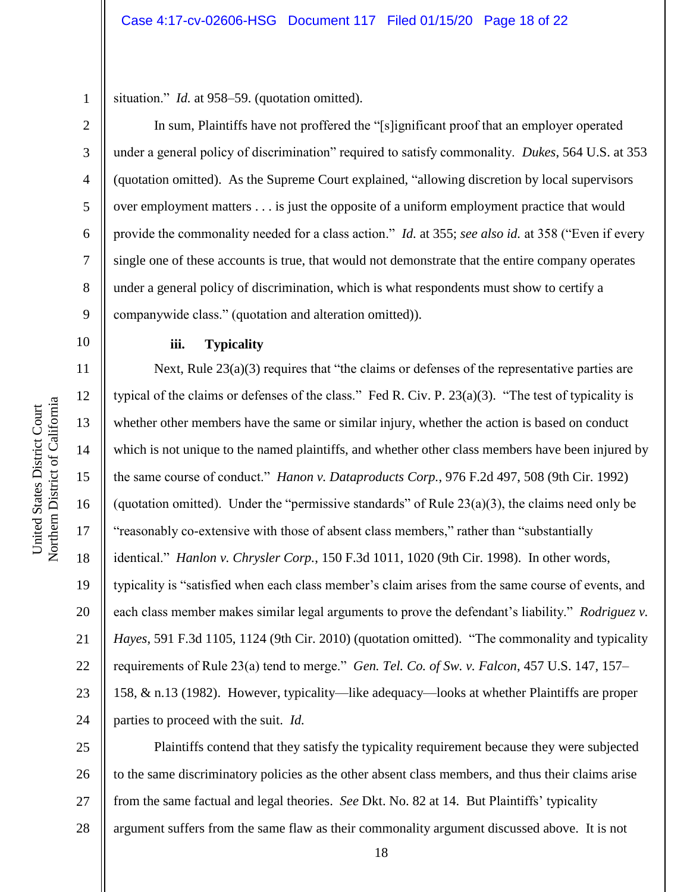1 situation." *Id.* at 958–59. (quotation omitted).

In sum, Plaintiffs have not proffered the "[s]ignificant proof that an employer operated under a general policy of discrimination" required to satisfy commonality. *Dukes*, 564 U.S. at 353 (quotation omitted). As the Supreme Court explained, "allowing discretion by local supervisors over employment matters . . . is just the opposite of a uniform employment practice that would provide the commonality needed for a class action." *Id.* at 355; *see also id.* at 358 ("Even if every single one of these accounts is true, that would not demonstrate that the entire company operates under a general policy of discrimination, which is what respondents must show to certify a companywide class." (quotation and alteration omitted)).

# **iii. Typicality**

Next, Rule 23(a)(3) requires that "the claims or defenses of the representative parties are typical of the claims or defenses of the class." Fed R. Civ. P. 23(a)(3). "The test of typicality is whether other members have the same or similar injury, whether the action is based on conduct which is not unique to the named plaintiffs, and whether other class members have been injured by the same course of conduct." *Hanon v. Dataproducts Corp.*, 976 F.2d 497, 508 (9th Cir. 1992) (quotation omitted). Under the "permissive standards" of Rule  $23(a)(3)$ , the claims need only be "reasonably co-extensive with those of absent class members," rather than "substantially identical." *Hanlon v. Chrysler Corp.*, 150 F.3d 1011, 1020 (9th Cir. 1998). In other words, typicality is "satisfied when each class member's claim arises from the same course of events, and each class member makes similar legal arguments to prove the defendant's liability." *Rodriguez v. Hayes*, 591 F.3d 1105, 1124 (9th Cir. 2010) (quotation omitted). "The commonality and typicality requirements of Rule 23(a) tend to merge." *Gen. Tel. Co. of Sw. v. Falcon*, 457 U.S. 147, 157– 158, & n.13 (1982). However, typicality—like adequacy—looks at whether Plaintiffs are proper parties to proceed with the suit. *Id.*

25 26 27 28 Plaintiffs contend that they satisfy the typicality requirement because they were subjected to the same discriminatory policies as the other absent class members, and thus their claims arise from the same factual and legal theories. *See* Dkt. No. 82 at 14. But Plaintiffs' typicality argument suffers from the same flaw as their commonality argument discussed above. It is not

2

3

4

5

6

7

8

9

10

11

12

13

14

15

16

17

18

19

20

21

22

23

24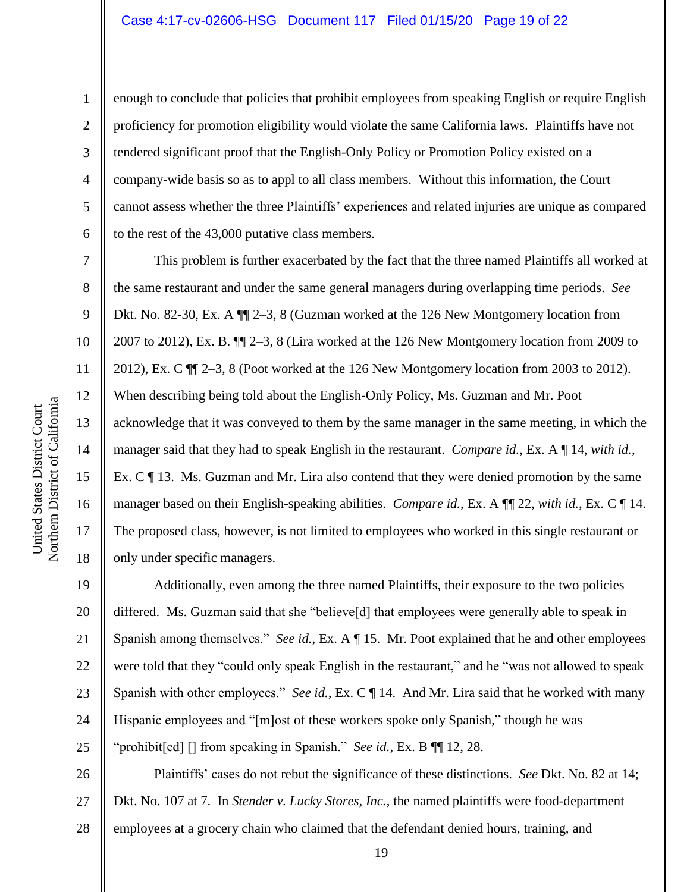enough to conclude that policies that prohibit employees from speaking English or require English proficiency for promotion eligibility would violate the same California laws. Plaintiffs have not tendered significant proof that the English-Only Policy or Promotion Policy existed on a company-wide basis so as to appl to all class members. Without this information, the Court cannot assess whether the three Plaintiffs' experiences and related injuries are unique as compared to the rest of the 43,000 putative class members.

This problem is further exacerbated by the fact that the three named Plaintiffs all worked at the same restaurant and under the same general managers during overlapping time periods. *See*  Dkt. No. 82-30, Ex. A ¶¶ 2–3, 8 (Guzman worked at the 126 New Montgomery location from 2007 to 2012), Ex. B. ¶¶ 2–3, 8 (Lira worked at the 126 New Montgomery location from 2009 to 2012), Ex. C ¶¶ 2–3, 8 (Poot worked at the 126 New Montgomery location from 2003 to 2012). When describing being told about the English-Only Policy, Ms. Guzman and Mr. Poot acknowledge that it was conveyed to them by the same manager in the same meeting, in which the manager said that they had to speak English in the restaurant. *Compare id.*, Ex. A ¶ 14, *with id.*, Ex. C ¶ 13. Ms. Guzman and Mr. Lira also contend that they were denied promotion by the same manager based on their English-speaking abilities. *Compare id.*, Ex. A ¶¶ 22, *with id.*, Ex. C ¶ 14. The proposed class, however, is not limited to employees who worked in this single restaurant or only under specific managers.

19 20 21 22 23 24 25 Additionally, even among the three named Plaintiffs, their exposure to the two policies differed. Ms. Guzman said that she "believe[d] that employees were generally able to speak in Spanish among themselves." *See id.*, Ex. A ¶ 15. Mr. Poot explained that he and other employees were told that they "could only speak English in the restaurant," and he "was not allowed to speak Spanish with other employees." *See id.*, Ex. C ¶ 14. And Mr. Lira said that he worked with many Hispanic employees and "[m]ost of these workers spoke only Spanish," though he was "prohibit[ed] [] from speaking in Spanish." *See id.*, Ex. B ¶¶ 12, 28.

26 27 28 Plaintiffs' cases do not rebut the significance of these distinctions. *See* Dkt. No. 82 at 14; Dkt. No. 107 at 7. In *Stender v. Lucky Stores, Inc.*, the named plaintiffs were food-department employees at a grocery chain who claimed that the defendant denied hours, training, and

1

2

3

4

5

6

7

8

9

10

11

12

13

14

15

16

17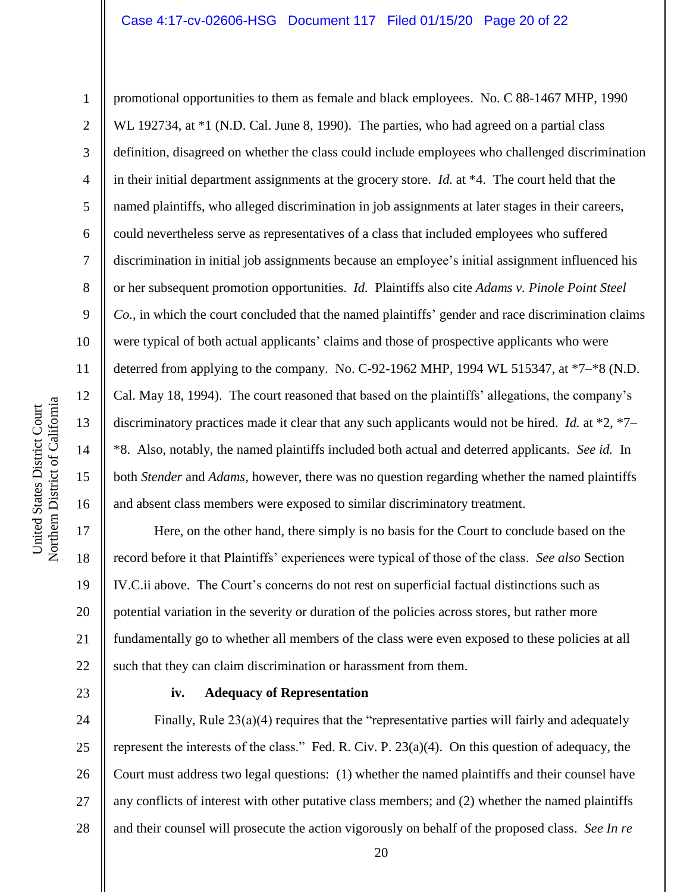1 2 3 4 5 6 7 8 9 10 11 12 13 14 15 16 promotional opportunities to them as female and black employees. No. C 88-1467 MHP, 1990 WL 192734, at \*1 (N.D. Cal. June 8, 1990). The parties, who had agreed on a partial class definition, disagreed on whether the class could include employees who challenged discrimination in their initial department assignments at the grocery store. *Id.* at \*4. The court held that the named plaintiffs, who alleged discrimination in job assignments at later stages in their careers, could nevertheless serve as representatives of a class that included employees who suffered discrimination in initial job assignments because an employee's initial assignment influenced his or her subsequent promotion opportunities. *Id.* Plaintiffs also cite *Adams v. Pinole Point Steel Co.*, in which the court concluded that the named plaintiffs' gender and race discrimination claims were typical of both actual applicants' claims and those of prospective applicants who were deterred from applying to the company. No. C-92-1962 MHP, 1994 WL 515347, at \*7–\*8 (N.D. Cal. May 18, 1994). The court reasoned that based on the plaintiffs' allegations, the company's discriminatory practices made it clear that any such applicants would not be hired. *Id.* at \*2, \*7– \*8. Also, notably, the named plaintiffs included both actual and deterred applicants. *See id.* In both *Stender* and *Adams*, however, there was no question regarding whether the named plaintiffs and absent class members were exposed to similar discriminatory treatment.

Here, on the other hand, there simply is no basis for the Court to conclude based on the record before it that Plaintiffs' experiences were typical of those of the class. *See also* Section IV.C.ii above. The Court's concerns do not rest on superficial factual distinctions such as potential variation in the severity or duration of the policies across stores, but rather more fundamentally go to whether all members of the class were even exposed to these policies at all such that they can claim discrimination or harassment from them.

23

17

18

19

20

21

22

# **iv. Adequacy of Representation**

24 25 26 27 28 Finally, Rule 23(a)(4) requires that the "representative parties will fairly and adequately represent the interests of the class." Fed. R. Civ. P. 23(a)(4). On this question of adequacy, the Court must address two legal questions: (1) whether the named plaintiffs and their counsel have any conflicts of interest with other putative class members; and (2) whether the named plaintiffs and their counsel will prosecute the action vigorously on behalf of the proposed class. *See In re*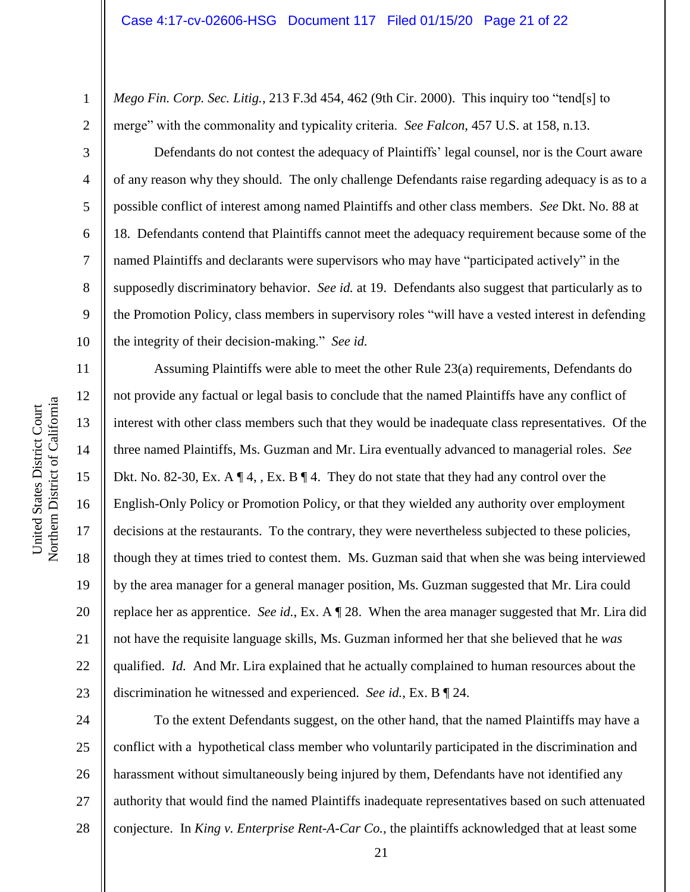*Mego Fin. Corp. Sec. Litig.*, 213 F.3d 454, 462 (9th Cir. 2000). This inquiry too "tend[s] to merge" with the commonality and typicality criteria. *See Falcon*, 457 U.S. at 158, n.13.

Defendants do not contest the adequacy of Plaintiffs' legal counsel, nor is the Court aware of any reason why they should. The only challenge Defendants raise regarding adequacy is as to a possible conflict of interest among named Plaintiffs and other class members. *See* Dkt. No. 88 at 18. Defendants contend that Plaintiffs cannot meet the adequacy requirement because some of the named Plaintiffs and declarants were supervisors who may have "participated actively" in the supposedly discriminatory behavior. *See id.* at 19. Defendants also suggest that particularly as to the Promotion Policy, class members in supervisory roles "will have a vested interest in defending the integrity of their decision-making." *See id.*

Assuming Plaintiffs were able to meet the other Rule 23(a) requirements, Defendants do not provide any factual or legal basis to conclude that the named Plaintiffs have any conflict of interest with other class members such that they would be inadequate class representatives. Of the three named Plaintiffs, Ms. Guzman and Mr. Lira eventually advanced to managerial roles. *See*  Dkt. No. 82-30, Ex. A  $\P$  4, , Ex. B  $\P$  4. They do not state that they had any control over the English-Only Policy or Promotion Policy, or that they wielded any authority over employment decisions at the restaurants. To the contrary, they were nevertheless subjected to these policies, though they at times tried to contest them. Ms. Guzman said that when she was being interviewed by the area manager for a general manager position, Ms. Guzman suggested that Mr. Lira could replace her as apprentice. *See id.*, Ex. A ¶ 28. When the area manager suggested that Mr. Lira did not have the requisite language skills, Ms. Guzman informed her that she believed that he *was*  qualified. *Id.* And Mr. Lira explained that he actually complained to human resources about the discrimination he witnessed and experienced. *See id.*, Ex. B ¶ 24.

24 25 26 27 28 To the extent Defendants suggest, on the other hand, that the named Plaintiffs may have a conflict with a hypothetical class member who voluntarily participated in the discrimination and harassment without simultaneously being injured by them, Defendants have not identified any authority that would find the named Plaintiffs inadequate representatives based on such attenuated conjecture. In *King v. Enterprise Rent-A-Car Co.*, the plaintiffs acknowledged that at least some

1

2

3

4

5

6

7

8

9

10

11

12

13

14

15

16

17

18

19

20

21

22